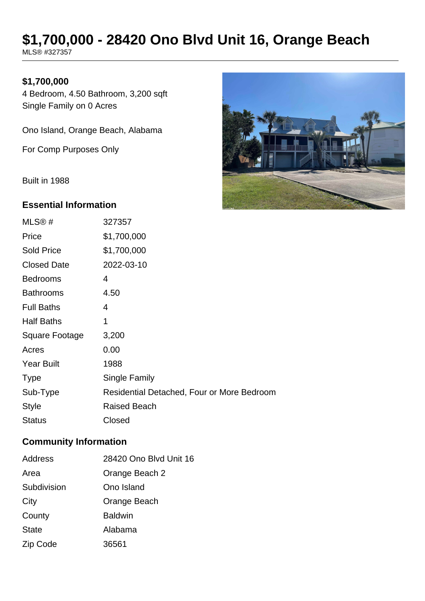# **\$1,700,000 - 28420 Ono Blvd Unit 16, Orange Beach**

MLS® #327357

## **\$1,700,000**

4 Bedroom, 4.50 Bathroom, 3,200 sqft Single Family on 0 Acres

Ono Island, Orange Beach, Alabama

For Comp Purposes Only

Built in 1988

#### **Essential Information**

| MLS <sup>®</sup> # | 327357                                     |
|--------------------|--------------------------------------------|
| Price              | \$1,700,000                                |
| <b>Sold Price</b>  | \$1,700,000                                |
| <b>Closed Date</b> | 2022-03-10                                 |
| <b>Bedrooms</b>    | 4                                          |
| <b>Bathrooms</b>   | 4.50                                       |
| <b>Full Baths</b>  | 4                                          |
| <b>Half Baths</b>  | 1                                          |
| Square Footage     | 3,200                                      |
| Acres              | 0.00                                       |
| <b>Year Built</b>  | 1988                                       |
| <b>Type</b>        | <b>Single Family</b>                       |
| Sub-Type           | Residential Detached, Four or More Bedroom |
| <b>Style</b>       | <b>Raised Beach</b>                        |
| <b>Status</b>      | Closed                                     |

#### **Community Information**

| Address      | 28420 Ono Blvd Unit 16 |  |
|--------------|------------------------|--|
| Area         | Orange Beach 2         |  |
| Subdivision  | Ono Island             |  |
| City         | Orange Beach           |  |
| County       | <b>Baldwin</b>         |  |
| <b>State</b> | Alabama                |  |
| Zip Code     | 36561                  |  |

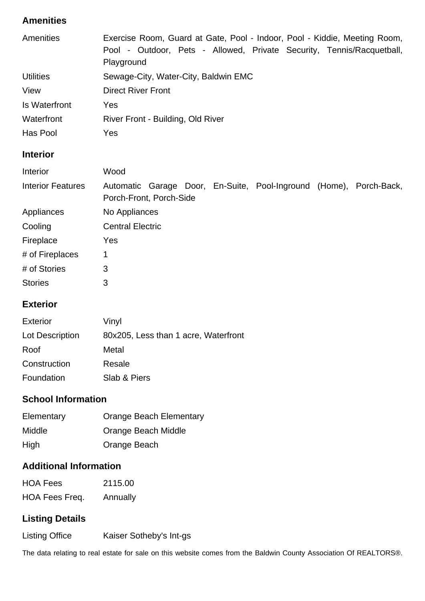# **Amenities**

| Amenities        | Exercise Room, Guard at Gate, Pool - Indoor, Pool - Kiddie, Meeting Room, |  |
|------------------|---------------------------------------------------------------------------|--|
|                  | Pool - Outdoor, Pets - Allowed, Private Security, Tennis/Racquetball,     |  |
|                  | Playground                                                                |  |
| <b>Utilities</b> | Sewage-City, Water-City, Baldwin EMC                                      |  |
| View             | <b>Direct River Front</b>                                                 |  |
| Is Waterfront    | Yes                                                                       |  |
| Waterfront       | River Front - Building, Old River                                         |  |
| Has Pool         | Yes                                                                       |  |

# **Interior**

| Interior                 | Wood                                                                                          |  |  |  |  |
|--------------------------|-----------------------------------------------------------------------------------------------|--|--|--|--|
| <b>Interior Features</b> | Automatic Garage Door, En-Suite, Pool-Inground (Home), Porch-Back,<br>Porch-Front, Porch-Side |  |  |  |  |
| Appliances               | No Appliances                                                                                 |  |  |  |  |
| Cooling                  | <b>Central Electric</b>                                                                       |  |  |  |  |
| Fireplace                | Yes                                                                                           |  |  |  |  |
| # of Fireplaces          | 1                                                                                             |  |  |  |  |
| # of Stories             | 3                                                                                             |  |  |  |  |
| <b>Stories</b>           | 3                                                                                             |  |  |  |  |

#### **Exterior**

| <b>Exterior</b> | Vinyl                                |
|-----------------|--------------------------------------|
| Lot Description | 80x205, Less than 1 acre, Waterfront |
| Roof            | Metal                                |
| Construction    | Resale                               |
| Foundation      | Slab & Piers                         |

## **School Information**

| Elementary    | <b>Orange Beach Elementary</b> |
|---------------|--------------------------------|
| <b>Middle</b> | Orange Beach Middle            |
| High          | Orange Beach                   |

# **Additional Information**

| <b>HOA Fees</b> | 2115.00  |
|-----------------|----------|
| HOA Fees Freq.  | Annually |

## **Listing Details**

Listing Office Kaiser Sotheby's Int-gs

The data relating to real estate for sale on this website comes from the Baldwin County Association Of REALTORS®.